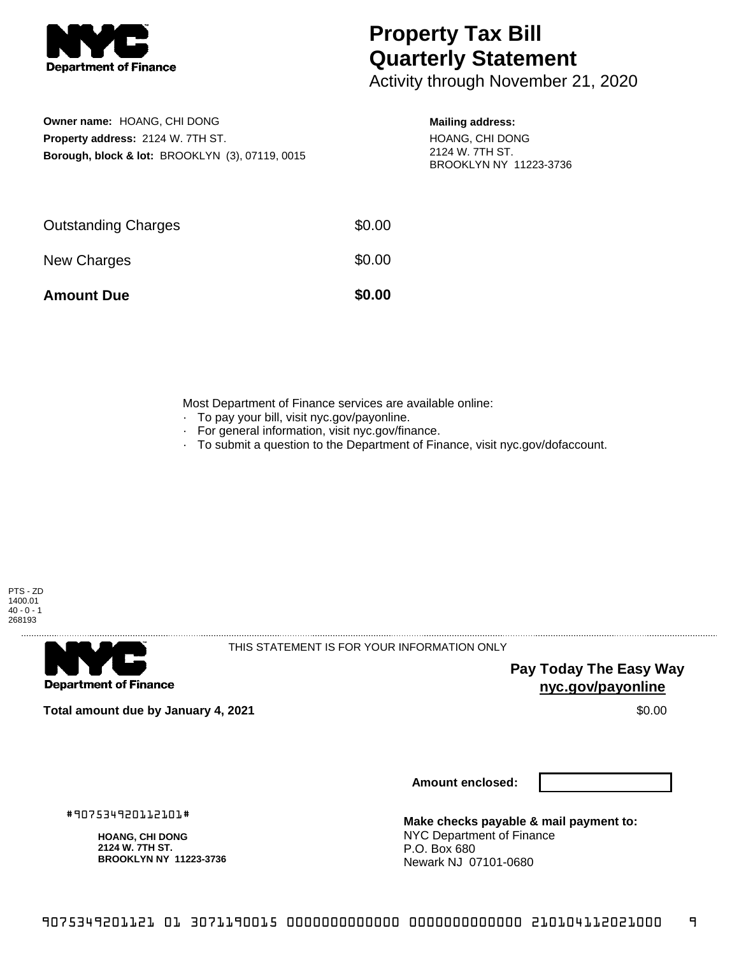

## **Property Tax Bill Quarterly Statement**

Activity through November 21, 2020

| Owner name: HOANG, CHI DONG                                |
|------------------------------------------------------------|
| Property address: 2124 W. 7TH ST.                          |
| <b>Borough, block &amp; lot: BROOKLYN (3), 07119, 0015</b> |

## **Mailing address:**

HOANG, CHI DONG 2124 W. 7TH ST. BROOKLYN NY 11223-3736

| <b>Amount Due</b>          | \$0.00 |
|----------------------------|--------|
| New Charges                | \$0.00 |
| <b>Outstanding Charges</b> | \$0.00 |

Most Department of Finance services are available online:

- · To pay your bill, visit nyc.gov/payonline.
- For general information, visit nyc.gov/finance.
- · To submit a question to the Department of Finance, visit nyc.gov/dofaccount.



**Department of Finance** 

THIS STATEMENT IS FOR YOUR INFORMATION ONLY

**Pay Today The Easy Way nyc.gov/payonline**

**Total amount due by January 4, 2021** \$0.00

**Amount enclosed:**

#907534920112101#

**HOANG, CHI DONG 2124 W. 7TH ST. BROOKLYN NY 11223-3736**

**Make checks payable & mail payment to:** NYC Department of Finance P.O. Box 680 Newark NJ 07101-0680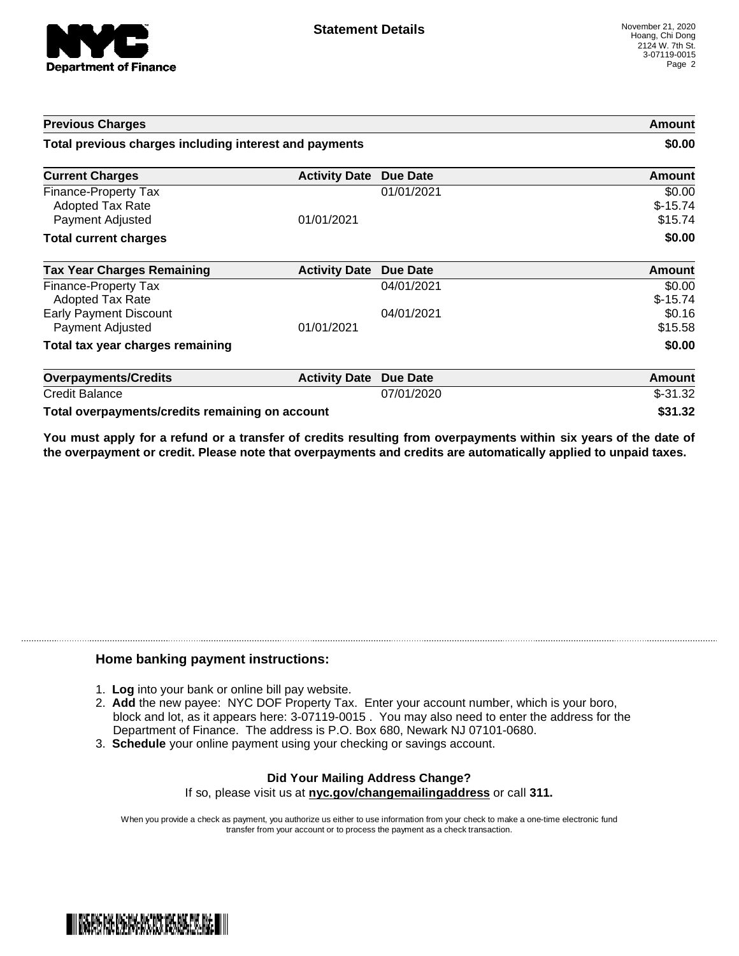

| <b>Previous Charges</b>                                                    |                               |            | Amount                         |
|----------------------------------------------------------------------------|-------------------------------|------------|--------------------------------|
| Total previous charges including interest and payments                     |                               | \$0.00     |                                |
| <b>Current Charges</b>                                                     | <b>Activity Date Due Date</b> |            | <b>Amount</b>                  |
| <b>Finance-Property Tax</b><br><b>Adopted Tax Rate</b><br>Payment Adjusted | 01/01/2021                    | 01/01/2021 | \$0.00<br>$$-15.74$<br>\$15.74 |
| <b>Total current charges</b>                                               |                               |            | \$0.00                         |
| <b>Tax Year Charges Remaining</b>                                          | <b>Activity Date</b>          | Due Date   | Amount                         |
| Finance-Property Tax<br><b>Adopted Tax Rate</b>                            |                               | 04/01/2021 | \$0.00<br>$$-15.74$            |
| <b>Early Payment Discount</b><br>Payment Adjusted                          | 01/01/2021                    | 04/01/2021 | \$0.16<br>\$15.58              |
| Total tax year charges remaining                                           |                               |            | \$0.00                         |
| <b>Overpayments/Credits</b>                                                | <b>Activity Date</b>          | Due Date   | Amount                         |
| <b>Credit Balance</b>                                                      |                               | 07/01/2020 | $$-31.32$                      |
| Total overpayments/credits remaining on account                            |                               |            | \$31.32                        |

You must apply for a refund or a transfer of credits resulting from overpayments within six years of the date of **the overpayment or credit. Please note that overpayments and credits are automatically applied to unpaid taxes.**

## **Home banking payment instructions:**

- 1. **Log** into your bank or online bill pay website.
- 2. **Add** the new payee: NYC DOF Property Tax. Enter your account number, which is your boro, block and lot, as it appears here: 3-07119-0015 . You may also need to enter the address for the Department of Finance. The address is P.O. Box 680, Newark NJ 07101-0680.
- 3. **Schedule** your online payment using your checking or savings account.

## **Did Your Mailing Address Change?** If so, please visit us at **nyc.gov/changemailingaddress** or call **311.**

When you provide a check as payment, you authorize us either to use information from your check to make a one-time electronic fund transfer from your account or to process the payment as a check transaction.